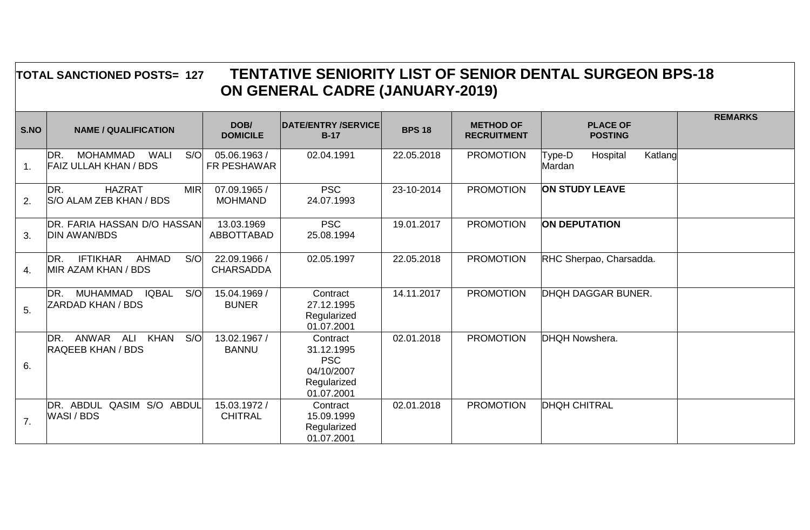## **TOTAL SANCTIONED POSTS= 127 TENTATIVE SENIORITY LIST OF SENIOR DENTAL SURGEON BPS-18 ON GENERAL CADRE (JANUARY-2019)**

| S.NO           | <b>NAME / QUALIFICATION</b>                                           | DOB/<br><b>DOMICILE</b>          | <b>DATE/ENTRY /SERVICE</b><br>$B-17$                                            | <b>BPS 18</b> | <b>METHOD OF</b><br><b>RECRUITMENT</b> | <b>PLACE OF</b><br><b>POSTING</b>       | <b>REMARKS</b> |
|----------------|-----------------------------------------------------------------------|----------------------------------|---------------------------------------------------------------------------------|---------------|----------------------------------------|-----------------------------------------|----------------|
| 1.             | MOHAMMAD<br><b>WALI</b><br>S/O<br>DR.<br><b>FAIZ ULLAH KHAN / BDS</b> | 05.06.1963 /<br>FR PESHAWAR      | 02.04.1991                                                                      | 22.05.2018    | <b>PROMOTION</b>                       | Hospital<br>Katlang<br>Type-D<br>Mardan |                |
| 2.             | <b>HAZRAT</b><br>DR.<br><b>MIR</b><br>S/O ALAM ZEB KHAN / BDS         | 07.09.1965 /<br><b>MOHMAND</b>   | <b>PSC</b><br>24.07.1993                                                        | 23-10-2014    | <b>PROMOTION</b>                       | <b>ON STUDY LEAVE</b>                   |                |
| 3.             | DR. FARIA HASSAN D/O HASSAN<br><b>DIN AWAN/BDS</b>                    | 13.03.1969<br><b>ABBOTTABAD</b>  | <b>PSC</b><br>25.08.1994                                                        | 19.01.2017    | <b>PROMOTION</b>                       | <b>ON DEPUTATION</b>                    |                |
| 4.             | <b>IFTIKHAR</b><br><b>AHMAD</b><br>S/O<br>DR.<br>MIR AZAM KHAN / BDS  | 22.09.1966 /<br><b>CHARSADDA</b> | 02.05.1997                                                                      | 22.05.2018    | <b>PROMOTION</b>                       | RHC Sherpao, Charsadda.                 |                |
| 5.             | MUHAMMAD<br><b>IQBAL</b><br>S/O<br>DR.<br><b>ZARDAD KHAN / BDS</b>    | 15.04.1969 /<br><b>BUNER</b>     | Contract<br>27.12.1995<br>Regularized<br>01.07.2001                             | 14.11.2017    | <b>PROMOTION</b>                       | <b>DHQH DAGGAR BUNER.</b>               |                |
| 6.             | ANWAR<br><b>KHAN</b><br>S/O<br>DR.<br>ALI<br><b>RAQEEB KHAN / BDS</b> | 13.02.1967 /<br><b>BANNU</b>     | Contract<br>31.12.1995<br><b>PSC</b><br>04/10/2007<br>Regularized<br>01.07.2001 | 02.01.2018    | <b>PROMOTION</b>                       | DHQH Nowshera.                          |                |
| 7 <sub>1</sub> | QASIM S/O ABDUL<br>DR. ABDUL<br>WASI / BDS                            | 15.03.1972 /<br><b>CHITRAL</b>   | Contract<br>15.09.1999<br>Regularized<br>01.07.2001                             | 02.01.2018    | <b>PROMOTION</b>                       | <b>DHQH CHITRAL</b>                     |                |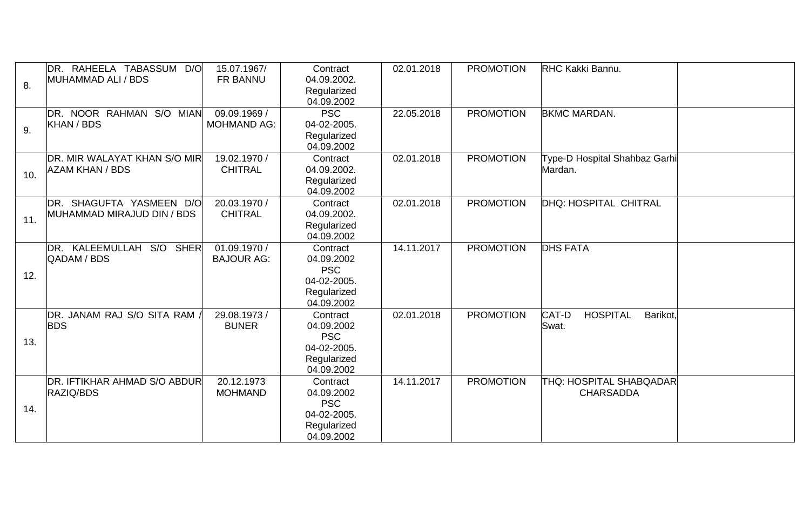| 8.  | DR. RAHEELA TABASSUM D/O<br>MUHAMMAD ALI / BDS         | 15.07.1967/<br>FR BANNU            | Contract<br>04.09.2002.<br>Regularized<br>04.09.2002                             | 02.01.2018 | <b>PROMOTION</b> | RHC Kakki Bannu.                              |  |
|-----|--------------------------------------------------------|------------------------------------|----------------------------------------------------------------------------------|------------|------------------|-----------------------------------------------|--|
| 9.  | DR. NOOR RAHMAN S/O MIAN<br>KHAN / BDS                 | 09.09.1969 /<br><b>MOHMAND AG:</b> | <b>PSC</b><br>04-02-2005.<br>Regularized<br>04.09.2002                           | 22.05.2018 | <b>PROMOTION</b> | <b>BKMC MARDAN.</b>                           |  |
| 10. | DR. MIR WALAYAT KHAN S/O MIR<br><b>AZAM KHAN / BDS</b> | 19.02.1970 /<br><b>CHITRAL</b>     | Contract<br>04.09.2002.<br>Regularized<br>04.09.2002                             | 02.01.2018 | <b>PROMOTION</b> | Type-D Hospital Shahbaz Garhi<br>Mardan.      |  |
| 11. | DR. SHAGUFTA YASMEEN D/O<br>MUHAMMAD MIRAJUD DIN / BDS | 20.03.1970 /<br><b>CHITRAL</b>     | Contract<br>04.09.2002.<br>Regularized<br>04.09.2002                             | 02.01.2018 | <b>PROMOTION</b> | DHQ: HOSPITAL CHITRAL                         |  |
| 12. | DR. KALEEMULLAH<br>S/O SHER<br>QADAM / BDS             | 01.09.1970 /<br><b>BAJOUR AG:</b>  | Contract<br>04.09.2002<br><b>PSC</b><br>04-02-2005.<br>Regularized<br>04.09.2002 | 14.11.2017 | <b>PROMOTION</b> | <b>DHS FATA</b>                               |  |
| 13. | DR. JANAM RAJ S/O SITA RAM,<br><b>BDS</b>              | 29.08.1973 /<br><b>BUNER</b>       | Contract<br>04.09.2002<br><b>PSC</b><br>04-02-2005.<br>Regularized<br>04.09.2002 | 02.01.2018 | <b>PROMOTION</b> | CAT-D<br><b>HOSPITAL</b><br>Barikot,<br>Swat. |  |
| 14. | <b>DR. IFTIKHAR AHMAD S/O ABDUR</b><br>RAZIQ/BDS       | 20.12.1973<br><b>MOHMAND</b>       | Contract<br>04.09.2002<br><b>PSC</b><br>04-02-2005.<br>Regularized<br>04.09.2002 | 14.11.2017 | <b>PROMOTION</b> | THQ: HOSPITAL SHABQADAR<br><b>CHARSADDA</b>   |  |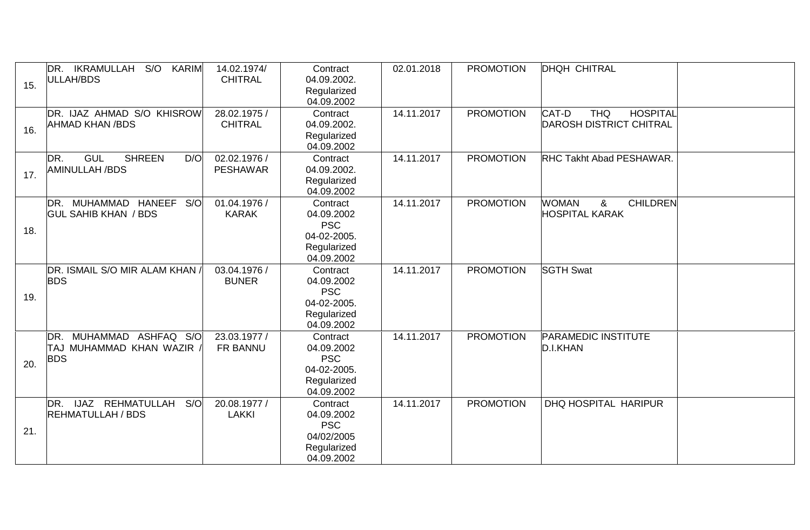| 15. | DR. IKRAMULLAH S/O<br><b>KARIM</b><br>ULLAH/BDS                    | 14.02.1974/<br><b>CHITRAL</b>   | Contract<br>04.09.2002.<br>Regularized<br>04.09.2002                             | 02.01.2018 | <b>PROMOTION</b> | <b>DHQH CHITRAL</b>                                                      |  |
|-----|--------------------------------------------------------------------|---------------------------------|----------------------------------------------------------------------------------|------------|------------------|--------------------------------------------------------------------------|--|
| 16. | DR. IJAZ AHMAD S/O KHISROW<br><b>AHMAD KHAN /BDS</b>               | 28.02.1975 /<br><b>CHITRAL</b>  | Contract<br>04.09.2002.<br>Regularized<br>04.09.2002                             | 14.11.2017 | <b>PROMOTION</b> | CAT-D<br><b>THQ</b><br><b>HOSPITAL</b><br><b>DAROSH DISTRICT CHITRAL</b> |  |
| 17. | <b>GUL</b><br><b>SHREEN</b><br>DR.<br>D/O<br><b>AMINULLAH /BDS</b> | 02.02.1976 /<br><b>PESHAWAR</b> | Contract<br>04.09.2002.<br>Regularized<br>04.09.2002                             | 14.11.2017 | <b>PROMOTION</b> | <b>RHC Takht Abad PESHAWAR.</b>                                          |  |
| 18. | DR. MUHAMMAD HANEEF<br>S/O<br><b>GUL SAHIB KHAN / BDS</b>          | 01.04.1976 /<br><b>KARAK</b>    | Contract<br>04.09.2002<br><b>PSC</b><br>04-02-2005.<br>Regularized<br>04.09.2002 | 14.11.2017 | <b>PROMOTION</b> | <b>WOMAN</b><br><b>CHILDREN</b><br>&<br><b>HOSPITAL KARAK</b>            |  |
| 19. | DR. ISMAIL S/O MIR ALAM KHAN /<br><b>BDS</b>                       | 03.04.1976 /<br><b>BUNER</b>    | Contract<br>04.09.2002<br><b>PSC</b><br>04-02-2005.<br>Regularized<br>04.09.2002 | 14.11.2017 | <b>PROMOTION</b> | <b>SGTH Swat</b>                                                         |  |
| 20. | DR. MUHAMMAD ASHFAQ S/O<br>TAJ MUHAMMAD KHAN WAZIR,<br><b>BDS</b>  | 23.03.1977 /<br>FR BANNU        | Contract<br>04.09.2002<br><b>PSC</b><br>04-02-2005.<br>Regularized<br>04.09.2002 | 14.11.2017 | <b>PROMOTION</b> | <b>PARAMEDIC INSTITUTE</b><br>D.I.KHAN                                   |  |
| 21. | DR. IJAZ REHMATULLAH<br>S/O<br><b>REHMATULLAH / BDS</b>            | 20.08.1977 /<br><b>LAKKI</b>    | Contract<br>04.09.2002<br><b>PSC</b><br>04/02/2005<br>Regularized<br>04.09.2002  | 14.11.2017 | <b>PROMOTION</b> | DHQ HOSPITAL HARIPUR                                                     |  |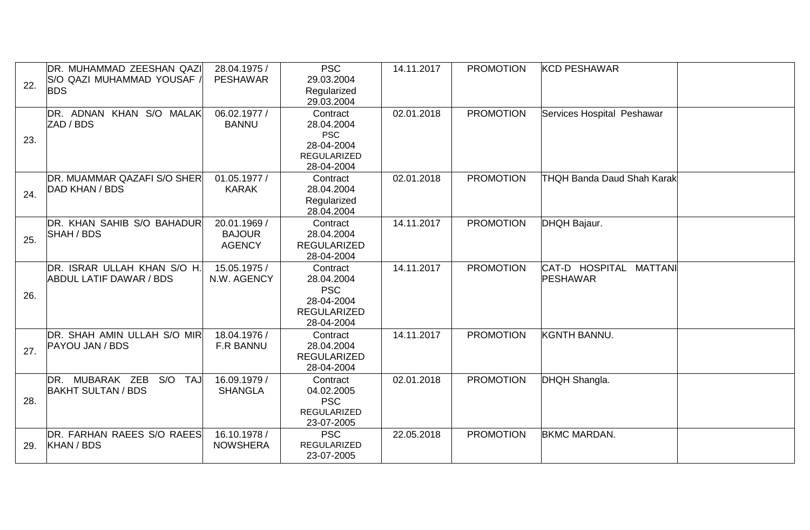| 22. | DR. MUHAMMAD ZEESHAN QAZI<br>S/O QAZI MUHAMMAD YOUSAF /<br><b>BDS</b> | 28.04.1975 /<br><b>PESHAWAR</b>                | <b>PSC</b><br>29.03.2004<br>Regularized<br>29.03.2004                                  | 14.11.2017 | <b>PROMOTION</b> | <b>KCD PESHAWAR</b>                |  |
|-----|-----------------------------------------------------------------------|------------------------------------------------|----------------------------------------------------------------------------------------|------------|------------------|------------------------------------|--|
| 23. | DR. ADNAN KHAN S/O MALAK<br>ZAD / BDS                                 | 06.02.1977 /<br><b>BANNU</b>                   | Contract<br>28.04.2004<br><b>PSC</b><br>28-04-2004<br><b>REGULARIZED</b><br>28-04-2004 | 02.01.2018 | <b>PROMOTION</b> | Services Hospital Peshawar         |  |
| 24. | DR. MUAMMAR QAZAFI S/O SHER<br>DAD KHAN / BDS                         | 01.05.1977 /<br><b>KARAK</b>                   | Contract<br>28.04.2004<br>Regularized<br>28.04.2004                                    | 02.01.2018 | <b>PROMOTION</b> | <b>THQH Banda Daud Shah Karak</b>  |  |
| 25. | DR. KHAN SAHIB S/O BAHADUR<br>SHAH / BDS                              | 20.01.1969 /<br><b>BAJOUR</b><br><b>AGENCY</b> | Contract<br>28.04.2004<br><b>REGULARIZED</b><br>28-04-2004                             | 14.11.2017 | <b>PROMOTION</b> | DHQH Bajaur.                       |  |
| 26. | DR. ISRAR ULLAH KHAN S/O H.<br><b>ABDUL LATIF DAWAR / BDS</b>         | 15.05.1975 /<br>N.W. AGENCY                    | Contract<br>28.04.2004<br><b>PSC</b><br>28-04-2004<br><b>REGULARIZED</b><br>28-04-2004 | 14.11.2017 | <b>PROMOTION</b> | CAT-D HOSPITAL MATTANI<br>PESHAWAR |  |
| 27. | DR. SHAH AMIN ULLAH S/O MIR<br><b>PAYOU JAN / BDS</b>                 | 18.04.1976 /<br>F.R BANNU                      | Contract<br>28.04.2004<br><b>REGULARIZED</b><br>28-04-2004                             | 14.11.2017 | <b>PROMOTION</b> | <b>KGNTH BANNU.</b>                |  |
| 28. | DR. MUBARAK ZEB<br>S/O TAJ<br><b>BAKHT SULTAN / BDS</b>               | 16.09.1979 /<br><b>SHANGLA</b>                 | Contract<br>04.02.2005<br><b>PSC</b><br><b>REGULARIZED</b><br>23-07-2005               | 02.01.2018 | <b>PROMOTION</b> | DHQH Shangla.                      |  |
| 29. | DR. FARHAN RAEES S/O RAEES<br>KHAN / BDS                              | 16.10.1978 /<br><b>NOWSHERA</b>                | <b>PSC</b><br><b>REGULARIZED</b><br>23-07-2005                                         | 22.05.2018 | <b>PROMOTION</b> | <b>BKMC MARDAN.</b>                |  |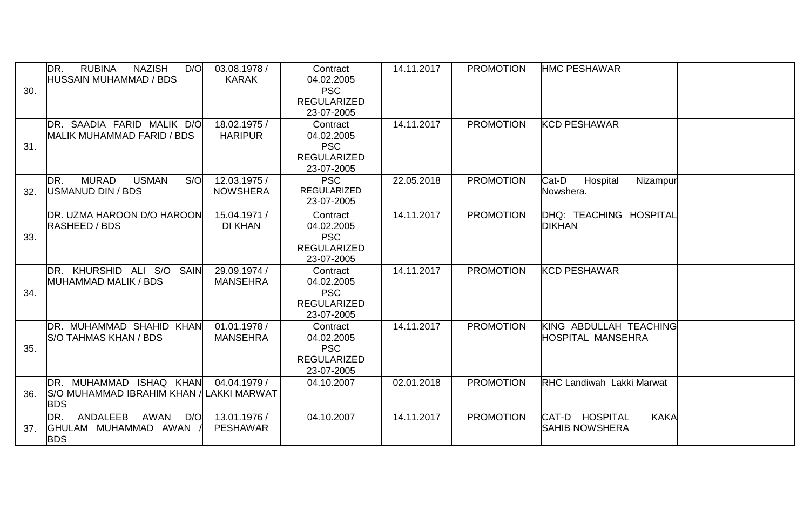| 30. | <b>RUBINA</b><br><b>NAZISH</b><br>DR.<br>D/O<br><b>HUSSAIN MUHAMMAD / BDS</b> | 03.08.1978 /<br><b>KARAK</b>        | Contract<br>04.02.2005<br><b>PSC</b><br><b>REGULARIZED</b><br>23-07-2005 | 14.11.2017 | <b>PROMOTION</b> | <b>HMC PESHAWAR</b>                                    |  |
|-----|-------------------------------------------------------------------------------|-------------------------------------|--------------------------------------------------------------------------|------------|------------------|--------------------------------------------------------|--|
| 31. | DR. SAADIA FARID MALIK D/O<br>MALIK MUHAMMAD FARID / BDS                      | 18.02.1975 /<br><b>HARIPUR</b>      | Contract<br>04.02.2005<br><b>PSC</b><br><b>REGULARIZED</b><br>23-07-2005 | 14.11.2017 | <b>PROMOTION</b> | <b>KCD PESHAWAR</b>                                    |  |
| 32. | <b>MURAD</b><br><b>USMAN</b><br>S/O<br>DR.<br>USMANUD DIN / BDS               | 12.03.1975 /<br><b>NOWSHERA</b>     | <b>PSC</b><br><b>REGULARIZED</b><br>23-07-2005                           | 22.05.2018 | <b>PROMOTION</b> | Cat-D<br>Hospital<br>Nizampur<br>Nowshera.             |  |
| 33. | DR. UZMA HAROON D/O HAROON<br><b>RASHEED / BDS</b>                            | 15.04.1971 /<br><b>DI KHAN</b>      | Contract<br>04.02.2005<br><b>PSC</b><br><b>REGULARIZED</b><br>23-07-2005 | 14.11.2017 | <b>PROMOTION</b> | DHQ: TEACHING HOSPITAL<br><b>DIKHAN</b>                |  |
| 34. | DR. KHURSHID ALI S/O SAIN<br>MUHAMMAD MALIK / BDS                             | 29.09.1974 /<br><b>MANSEHRA</b>     | Contract<br>04.02.2005<br><b>PSC</b><br><b>REGULARIZED</b><br>23-07-2005 | 14.11.2017 | <b>PROMOTION</b> | <b>KCD PESHAWAR</b>                                    |  |
| 35. | DR. MUHAMMAD SHAHID KHAN<br><b>S/O TAHMAS KHAN / BDS</b>                      | 01.01.1978 /<br><b>MANSEHRA</b>     | Contract<br>04.02.2005<br><b>PSC</b><br><b>REGULARIZED</b><br>23-07-2005 | 14.11.2017 | <b>PROMOTION</b> | KING ABDULLAH TEACHING<br>HOSPITAL MANSEHRA            |  |
| 36. | DR. MUHAMMAD ISHAQ KHAN<br>S/O MUHAMMAD IBRAHIM KHAN /<br><b>BDS</b>          | 04.04.1979 /<br><b>LAKKI MARWAT</b> | 04.10.2007                                                               | 02.01.2018 | <b>PROMOTION</b> | <b>RHC Landiwah Lakki Marwat</b>                       |  |
| 37. | <b>ANDALEEB</b><br>AWAN<br>DR.<br>D/O<br>GHULAM MUHAMMAD AWAN<br><b>BDS</b>   | 13.01.1976 /<br><b>PESHAWAR</b>     | 04.10.2007                                                               | 14.11.2017 | <b>PROMOTION</b> | CAT-D HOSPITAL<br><b>KAKA</b><br><b>SAHIB NOWSHERA</b> |  |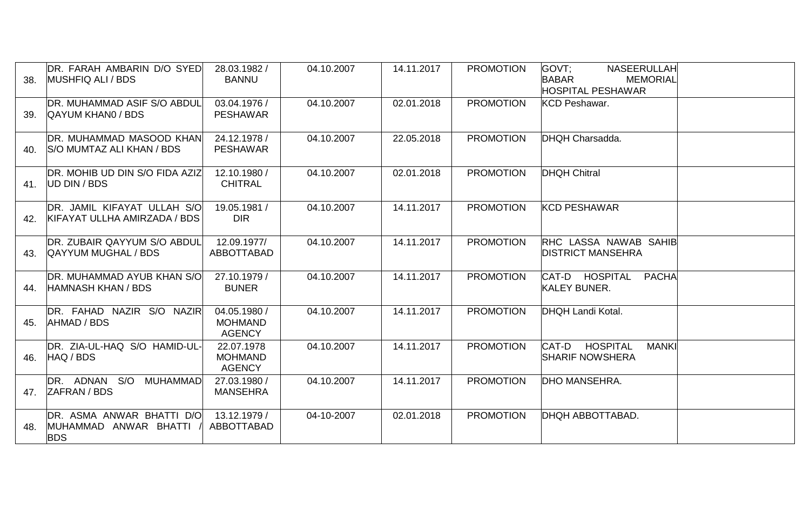| 38. | DR. FARAH AMBARIN D/O SYED<br>MUSHFIQ ALI / BDS                    | 28.03.1982 /<br><b>BANNU</b>                    | 04.10.2007 | 14.11.2017 | <b>PROMOTION</b> | GOVT:<br><b>NASEERULLAH</b><br><b>BABAR</b><br><b>MEMORIAL</b><br><b>HOSPITAL PESHAWAR</b> |  |
|-----|--------------------------------------------------------------------|-------------------------------------------------|------------|------------|------------------|--------------------------------------------------------------------------------------------|--|
| 39. | DR. MUHAMMAD ASIF S/O ABDUL<br><b>QAYUM KHANO / BDS</b>            | 03.04.1976 /<br><b>PESHAWAR</b>                 | 04.10.2007 | 02.01.2018 | <b>PROMOTION</b> | <b>KCD Peshawar.</b>                                                                       |  |
| 40. | DR. MUHAMMAD MASOOD KHAN<br><b>S/O MUMTAZ ALI KHAN / BDS</b>       | 24.12.1978 /<br><b>PESHAWAR</b>                 | 04.10.2007 | 22.05.2018 | <b>PROMOTION</b> | DHQH Charsadda.                                                                            |  |
| 41. | DR. MOHIB UD DIN S/O FIDA AZIZ<br>UD DIN / BDS                     | 12.10.1980 /<br><b>CHITRAL</b>                  | 04.10.2007 | 02.01.2018 | <b>PROMOTION</b> | <b>DHQH Chitral</b>                                                                        |  |
| 42. | DR. JAMIL KIFAYAT ULLAH S/O<br>KIFAYAT ULLHA AMIRZADA / BDS        | 19.05.1981 /<br><b>DIR</b>                      | 04.10.2007 | 14.11.2017 | <b>PROMOTION</b> | <b>KCD PESHAWAR</b>                                                                        |  |
| 43. | <b>DR. ZUBAIR QAYYUM S/O ABDUL</b><br><b>QAYYUM MUGHAL / BDS</b>   | 12.09.1977/<br>ABBOTTABAD                       | 04.10.2007 | 14.11.2017 | <b>PROMOTION</b> | <b>RHC LASSA NAWAB SAHIBI</b><br><b>DISTRICT MANSEHRA</b>                                  |  |
| 44. | <b>IDR. MUHAMMAD AYUB KHAN S/O</b><br><b>HAMNASH KHAN / BDS</b>    | 27.10.1979 /<br><b>BUNER</b>                    | 04.10.2007 | 14.11.2017 | <b>PROMOTION</b> | CAT-D HOSPITAL<br><b>PACHA</b><br><b>KALEY BUNER.</b>                                      |  |
| 45. | DR. FAHAD NAZIR S/O NAZIR<br>AHMAD / BDS                           | 04.05.1980 /<br><b>MOHMAND</b><br><b>AGENCY</b> | 04.10.2007 | 14.11.2017 | <b>PROMOTION</b> | DHQH Landi Kotal.                                                                          |  |
| 46. | DR. ZIA-UL-HAQ S/O HAMID-UL-<br>HAQ / BDS                          | 22.07.1978<br><b>MOHMAND</b><br><b>AGENCY</b>   | 04.10.2007 | 14.11.2017 | <b>PROMOTION</b> | <b>HOSPITAL</b><br>CAT-D<br><b>MANKI</b><br><b>SHARIF NOWSHERA</b>                         |  |
|     | DR. ADNAN S/O MUHAMMAD<br>47. ZAFRAN / BDS                         | 27.03.1980 /<br><b>MANSEHRA</b>                 | 04.10.2007 | 14.11.2017 | <b>PROMOTION</b> | <b>DHO MANSEHRA.</b>                                                                       |  |
| 48. | DR. ASMA ANWAR BHATTI D/O<br>MUHAMMAD ANWAR BHATTI /<br><b>BDS</b> | 13.12.1979 /<br>ABBOTTABAD                      | 04-10-2007 | 02.01.2018 | <b>PROMOTION</b> | DHQH ABBOTTABAD.                                                                           |  |